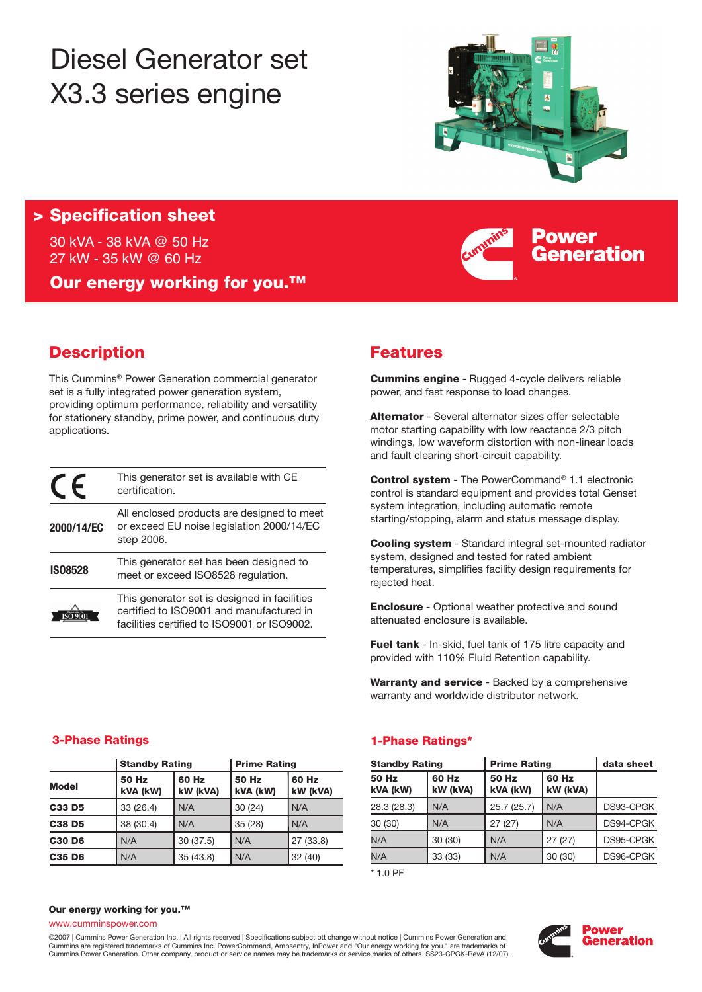# Diesel Generator set X3.3 series engine



Power

Generation

### **> Specification sheet**

30 kVA - 38 kVA @ 50 Hz 27 kW - 35 kW @ 60 Hz

**Our energy working for you.™**

## **Description**

This Cummins® Power Generation commercial generator set is a fully integrated power generation system, providing optimum performance, reliability and versatility for stationery standby, prime power, and continuous duty applications.

| E              | This generator set is available with CE<br>certification.                                                                               |
|----------------|-----------------------------------------------------------------------------------------------------------------------------------------|
| 2000/14/EC     | All enclosed products are designed to meet<br>or exceed EU noise legislation 2000/14/EC<br>step 2006.                                   |
| <b>IS08528</b> | This generator set has been designed to<br>meet or exceed ISO8528 regulation.                                                           |
|                | This generator set is designed in facilities<br>certified to ISO9001 and manufactured in<br>facilities certified to ISO9001 or ISO9002. |

### **Features**

**Cummins engine** - Rugged 4-cycle delivers reliable power, and fast response to load changes.

**Alternator** - Several alternator sizes offer selectable motor starting capability with low reactance 2/3 pitch windings, low waveform distortion with non-linear loads and fault clearing short-circuit capability.

**Control system** - The PowerCommand® 1.1 electronic control is standard equipment and provides total Genset system integration, including automatic remote starting/stopping, alarm and status message display.

**Cooling system** - Standard integral set-mounted radiator system, designed and tested for rated ambient temperatures, simplifies facility design requirements for rejected heat.

**Enclosure** - Optional weather protective and sound attenuated enclosure is available.

**Fuel tank** - In-skid, fuel tank of 175 litre capacity and provided with 110% Fluid Retention capability.

**Warranty and service** - Backed by a comprehensive warranty and worldwide distributor network.

|               | <b>Standby Rating</b> |                   | <b>Prime Rating</b> |                   |  |
|---------------|-----------------------|-------------------|---------------------|-------------------|--|
| <b>Model</b>  | 50 Hz<br>kVA (kW)     | 60 Hz<br>kW (kVA) | 50 Hz<br>kVA (kW)   | 60 Hz<br>kW (kVA) |  |
| C33 D5        | 33 (26.4)<br>N/A      |                   | 30(24)              | N/A               |  |
| <b>C38 D5</b> | 38 (30.4)<br>N/A      |                   | 35(28)              | N/A               |  |
| <b>C30 D6</b> | N/A                   | 30(37.5)          | N/A                 | 27 (33.8)         |  |
| C35 D6        | N/A                   | 35 (43.8)         | N/A                 | 32(40)            |  |

### **3-Phase Ratings 1-Phase Ratings\***

| <b>Standby Rating</b>                  |         | <b>Prime Rating</b>      | data sheet        |           |
|----------------------------------------|---------|--------------------------|-------------------|-----------|
| 60 Hz<br>50 Hz<br>kW (kVA)<br>kVA (kW) |         | <b>50 Hz</b><br>kVA (kW) | 60 Hz<br>kW (kVA) |           |
| 28.3 (28.3)                            | N/A     | 25.7(25.7)               | N/A               | DS93-CPGK |
| 30 (30)                                | N/A     | 27(27)                   | N/A               | DS94-CPGK |
| N/A                                    | 30(30)  | N/A                      | 27(27)            | DS95-CPGK |
| N/A                                    | 33 (33) | N/A                      | 30(30)            | DS96-CPGK |

\* 1.0 PF

### **Our energy working for you.™**

www.cumminspower.com

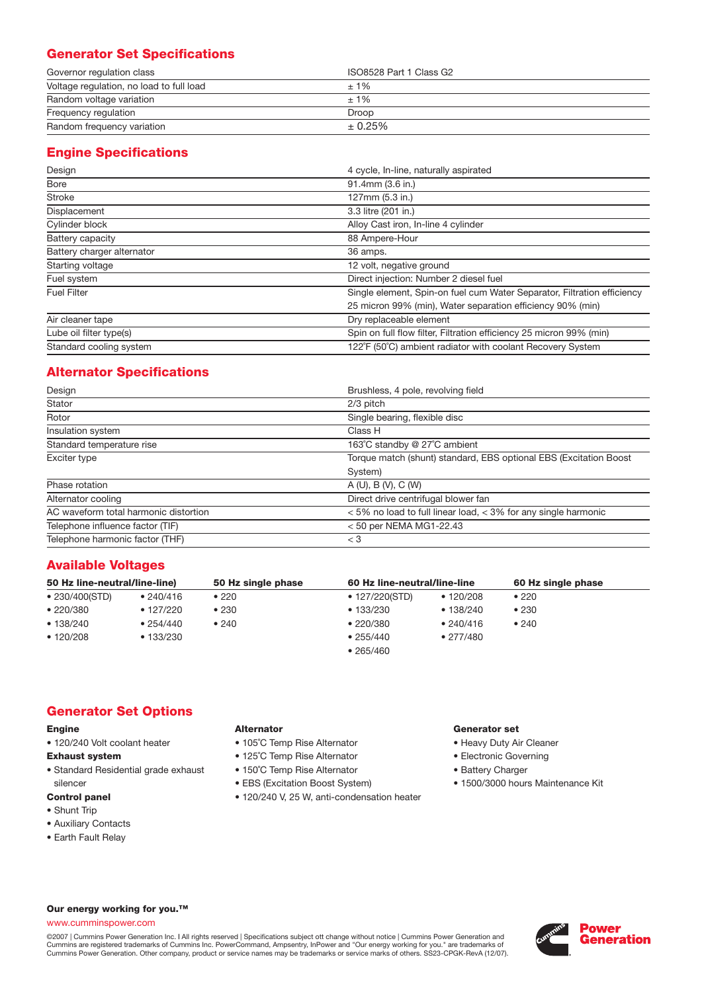### **Generator Set Specifications**

| Governor regulation class                | ISO8528 Part 1 Class G2 |
|------------------------------------------|-------------------------|
| Voltage regulation, no load to full load | $±1\%$                  |
| Random voltage variation                 | $±1\%$                  |
| Frequency regulation                     | Droop                   |
| Random frequency variation               | $± 0.25\%$              |

### **Engine Specifications**

| Design                     | 4 cycle, In-line, naturally aspirated                                   |  |  |
|----------------------------|-------------------------------------------------------------------------|--|--|
| <b>Bore</b>                | 91.4mm (3.6 in.)                                                        |  |  |
| <b>Stroke</b>              | 127mm (5.3 in.)                                                         |  |  |
| Displacement               | 3.3 litre (201 in.)                                                     |  |  |
| Cylinder block             | Alloy Cast iron, In-line 4 cylinder                                     |  |  |
| Battery capacity           | 88 Ampere-Hour                                                          |  |  |
| Battery charger alternator | 36 amps.                                                                |  |  |
| Starting voltage           | 12 volt, negative ground                                                |  |  |
| Fuel system                | Direct injection: Number 2 diesel fuel                                  |  |  |
| <b>Fuel Filter</b>         | Single element, Spin-on fuel cum Water Separator, Filtration efficiency |  |  |
|                            | 25 micron 99% (min), Water separation efficiency 90% (min)              |  |  |
| Air cleaner tape           | Dry replaceable element                                                 |  |  |
| Lube oil filter type(s)    | Spin on full flow filter, Filtration efficiency 25 micron 99% (min)     |  |  |
| Standard cooling system    | 122°F (50°C) ambient radiator with coolant Recovery System              |  |  |

### **Alternator Specifications**

| Design                                                    | Brushless, 4 pole, revolving field                                 |
|-----------------------------------------------------------|--------------------------------------------------------------------|
| Stator                                                    | $2/3$ pitch                                                        |
| Rotor<br>Single bearing, flexible disc                    |                                                                    |
| Insulation system<br>Class H                              |                                                                    |
| Standard temperature rise<br>163°C standby @ 27°C ambient |                                                                    |
| Exciter type                                              | Torque match (shunt) standard, EBS optional EBS (Excitation Boost  |
|                                                           | System)                                                            |
| Phase rotation                                            | A(U), B(V), C(W)                                                   |
| Alternator cooling                                        | Direct drive centrifugal blower fan                                |
| AC waveform total harmonic distortion                     | $<$ 5% no load to full linear load, $<$ 3% for any single harmonic |
| Telephone influence factor (TIF)                          | $<$ 50 per NEMA MG1-22.43                                          |
| Telephone harmonic factor (THF)                           | $<$ 3                                                              |

### **Available Voltages**

| 50 Hz line-neutral/line-line) |                   | 50 Hz single phase | 60 Hz line-neutral/line-line |             | 60 Hz single phase |  |
|-------------------------------|-------------------|--------------------|------------------------------|-------------|--------------------|--|
| • 230/400(STD)                | • 240/416         | •220               | ● 127/220(STD)               | • $120/208$ | •220               |  |
| •220/380                      | $\bullet$ 127/220 | •230               | •133/230                     | •138/240    | •230               |  |
| • 138/240                     | •254/440          | •240               | •220/380                     | •240/416    | •240               |  |
| • 120/208                     | •133/230          |                    | • 255/440                    | • 277/480   |                    |  |
|                               |                   |                    | • 265/460                    |             |                    |  |

### **Generator Set Options**

#### **Engine**

• 120/240 Volt coolant heater

### **Exhaust system**

• Standard Residential grade exhaust silencer

### **Control panel**

- Shunt Trip
- Auxiliary Contacts
- Earth Fault Relay

### **Alternator**

- 105˚C Temp Rise Alternator
- 125˚C Temp Rise Alternator
- 150˚C Temp Rise Alternator
- EBS (Excitation Boost System)
- 120/240 V, 25 W, anti-condensation heater

### **Generator set**

- Heavy Duty Air Cleaner
- Electronic Governing
- Battery Charger
- 1500/3000 hours Maintenance Kit

### **Our energy working for you.™**

### www.cumminspower.com

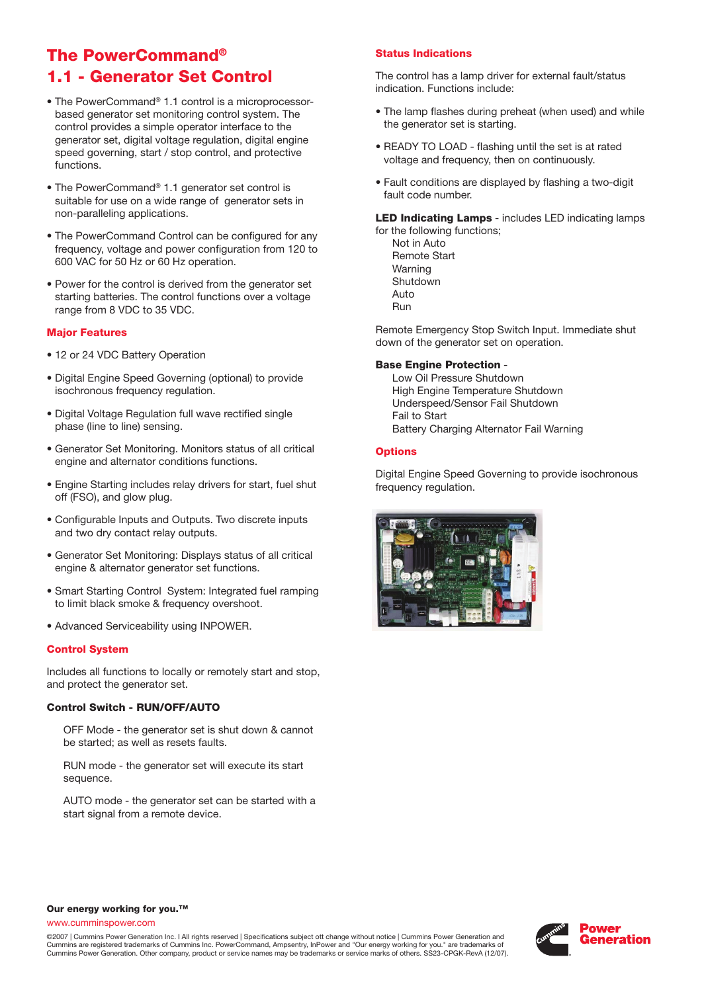### **The PowerCommand® 1.1 - Generator Set Control**

- The PowerCommand® 1.1 control is a microprocessorbased generator set monitoring control system. The control provides a simple operator interface to the generator set, digital voltage regulation, digital engine speed governing, start / stop control, and protective functions.
- The PowerCommand® 1.1 generator set control is suitable for use on a wide range of generator sets in non-paralleling applications.
- The PowerCommand Control can be configured for any frequency, voltage and power configuration from 120 to 600 VAC for 50 Hz or 60 Hz operation.
- Power for the control is derived from the generator set starting batteries. The control functions over a voltage range from 8 VDC to 35 VDC.

#### **Major Features**

- 12 or 24 VDC Battery Operation
- Digital Engine Speed Governing (optional) to provide isochronous frequency regulation.
- Digital Voltage Regulation full wave rectified single phase (line to line) sensing.
- Generator Set Monitoring. Monitors status of all critical engine and alternator conditions functions.
- Engine Starting includes relay drivers for start, fuel shut off (FSO), and glow plug.
- Configurable Inputs and Outputs. Two discrete inputs and two dry contact relay outputs.
- Generator Set Monitoring: Displays status of all critical engine & alternator generator set functions.
- Smart Starting Control System: Integrated fuel ramping to limit black smoke & frequency overshoot.
- Advanced Serviceability using INPOWER.

### **Control System**

Includes all functions to locally or remotely start and stop, and protect the generator set.

### **Control Switch - RUN/OFF/AUTO**

OFF Mode - the generator set is shut down & cannot be started; as well as resets faults.

RUN mode - the generator set will execute its start sequence.

AUTO mode - the generator set can be started with a start signal from a remote device.

### **Status Indications**

The control has a lamp driver for external fault/status indication. Functions include:

- The lamp flashes during preheat (when used) and while the generator set is starting.
- READY TO LOAD flashing until the set is at rated voltage and frequency, then on continuously.
- Fault conditions are displayed by flashing a two-digit fault code number.

**LED Indicating Lamps** - includes LED indicating lamps for the following functions;

Not in Auto Remote Start Warning Shutdown Auto Run

Remote Emergency Stop Switch Input. Immediate shut down of the generator set on operation.

### **Base Engine Protection** -

Low Oil Pressure Shutdown High Engine Temperature Shutdown Underspeed/Sensor Fail Shutdown Fail to Start Battery Charging Alternator Fail Warning

### **Options**

Digital Engine Speed Governing to provide isochronous frequency regulation.



#### **Our energy working for you.™**

www.cumminspower.com